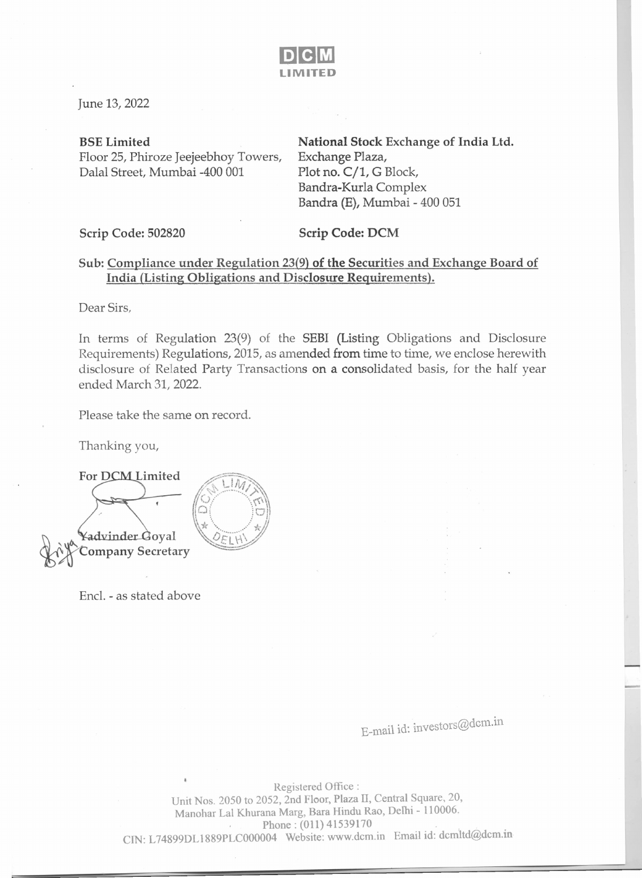

June 13, 2022

BSELimited

Floor 25, Phiroze Jeejeebhoy Towers, Dalal Street, Mumbai -400 001

National Stock Exchange of India Ltd. Exchange Plaza, Plot no.  $C/1$ , G Block, Bandra-Kurla Complex Bandra (E), Mumbai - 400 051

Scrip Code: 502820 Scrip Code: DCM

## Sub: Compliance under Regulation 23(9) of the Securities and Exchange Board of India (Listing Obligations and Disclosure Requirements).

Dear Sirs,

In terms of Regulation 23(9) of the SEBI (Listing Obligations and Disclosure Requirements) Regulations, 2015, as amended from time to time, we enclose herewith disclosure of Related Party Transactions on a consolidated basis, for the half year ended March 31, 2022.

Please take the same on record.

Thanking you,

For DCM Limited dvinder Goval Company Secretary

Encl. - as stated above

E-mail id: investors@dcm.in

Registered Office: Unit Nos. 2050 to 2052, 2nd Floor, Plaza II, Central Square, 20, Manohar Lal Khurana Marg, Bara Hindu Rao, Delhi - 110006. . Phone: (011) 41539170 CJN: L74899DL1889PLCOOO004 Website: www.dcm.in Email id: dcmltd@dcm.m